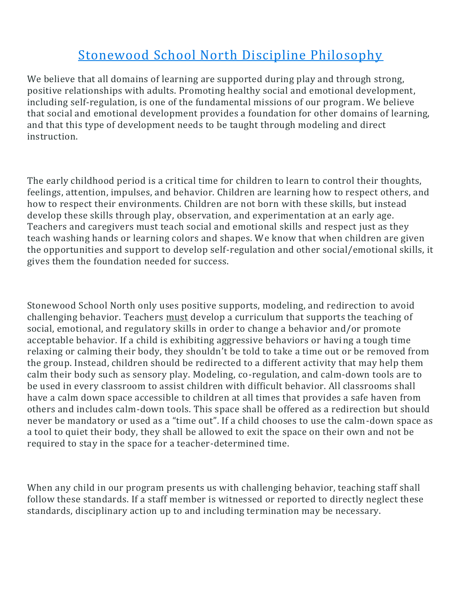## Stonewood School North Discipline Philosophy

We believe that all domains of learning are supported during play and through strong, positive relationships with adults. Promoting healthy social and emotional development, including self-regulation, is one of the fundamental missions of our program. We believe that social and emotional development provides a foundation for other domains of learning, and that this type of development needs to be taught through modeling and direct instruction.

The early childhood period is a critical time for children to learn to control their thoughts, feelings, attention, impulses, and behavior. Children are learning how to respect others, and how to respect their environments. Children are not born with these skills, but instead develop these skills through play, observation, and experimentation at an early age. Teachers and caregivers must teach social and emotional skills and respect just as they teach washing hands or learning colors and shapes. We know that when children are given the opportunities and support to develop self-regulation and other social/emotional skills, it gives them the foundation needed for success.

Stonewood School North only uses positive supports, modeling, and redirection to avoid challenging behavior. Teachers must develop a curriculum that supports the teaching of social, emotional, and regulatory skills in order to change a behavior and/or promote acceptable behavior. If a child is exhibiting aggressive behaviors or having a tough time relaxing or calming their body, they shouldn't be told to take a time out or be removed from the group. Instead, children should be redirected to a different activity that may help them calm their body such as sensory play. Modeling, co-regulation, and calm-down tools are to be used in every classroom to assist children with difficult behavior. All classrooms shall have a calm down space accessible to children at all times that provides a safe haven from others and includes calm-down tools. This space shall be offered as a redirection but should never be mandatory or used as a "time out". If a child chooses to use the calm-down space as a tool to quiet their body, they shall be allowed to exit the space on their own and not be required to stay in the space for a teacher-determined time.

When any child in our program presents us with challenging behavior, teaching staff shall follow these standards. If a staff member is witnessed or reported to directly neglect these standards, disciplinary action up to and including termination may be necessary.